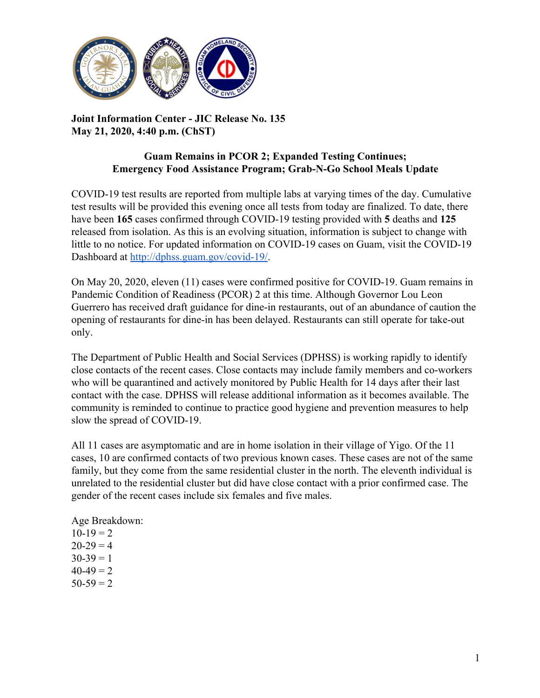

# **Joint Information Center - JIC Release No. 135 May 21, 2020, 4:40 p.m. (ChST)**

## **Guam Remains in PCOR 2; Expanded Testing Continues; Emergency Food Assistance Program; Grab-N-Go School Meals Update**

COVID-19 test results are reported from multiple labs at varying times of the day. Cumulative test results will be provided this evening once all tests from today are finalized. To date, there have been **165** cases confirmed through COVID-19 testing provided with **5** deaths and **125** released from isolation. As this is an evolving situation, information is subject to change with little to no notice. For updated information on COVID-19 cases on Guam, visit the COVID-19 Dashboard at [http://dphss.guam.gov/covid-19/.](http://dphss.guam.gov/covid-19/)

On May 20, 2020, eleven (11) cases were confirmed positive for COVID-19. Guam remains in Pandemic Condition of Readiness (PCOR) 2 at this time. Although Governor Lou Leon Guerrero has received draft guidance for dine-in restaurants, out of an abundance of caution the opening of restaurants for dine-in has been delayed. Restaurants can still operate for take-out only.

The Department of Public Health and Social Services (DPHSS) is working rapidly to identify close contacts of the recent cases. Close contacts may include family members and co-workers who will be quarantined and actively monitored by Public Health for 14 days after their last contact with the case. DPHSS will release additional information as it becomes available. The community is reminded to continue to practice good hygiene and prevention measures to help slow the spread of COVID-19.

All 11 cases are asymptomatic and are in home isolation in their village of Yigo. Of the 11 cases, 10 are confirmed contacts of two previous known cases. These cases are not of the same family, but they come from the same residential cluster in the north. The eleventh individual is unrelated to the residential cluster but did have close contact with a prior confirmed case. The gender of the recent cases include six females and five males.

Age Breakdown:  $10-19 = 2$  $20-29 = 4$  $30-39 = 1$  $40-49=2$  $50-59 = 2$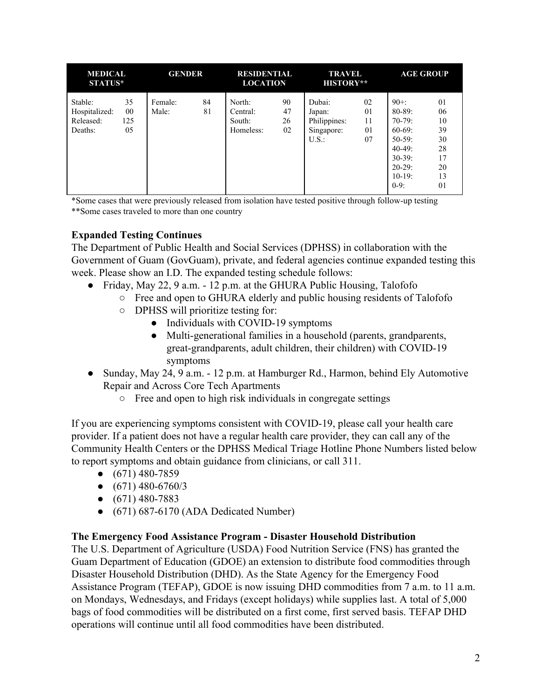| <b>MEDICAL</b><br><b>STATUS*</b>                 |                           | <b>GENDER</b>    |          | <b>RESIDENTIAL</b><br><b>LOCATION</b>     |                      | <b>TRAVEL</b><br><b>HISTORY**</b>                      |                            | <b>AGE GROUP</b>                                                                                                             |                                                          |
|--------------------------------------------------|---------------------------|------------------|----------|-------------------------------------------|----------------------|--------------------------------------------------------|----------------------------|------------------------------------------------------------------------------------------------------------------------------|----------------------------------------------------------|
| Stable:<br>Hospitalized:<br>Released:<br>Deaths: | 35<br>$00\,$<br>125<br>05 | Female:<br>Male: | 84<br>81 | North:<br>Central:<br>South:<br>Homeless: | 90<br>47<br>26<br>02 | Dubai:<br>Japan:<br>Philippines:<br>Singapore:<br>U.S. | 02<br>01<br>11<br>01<br>07 | $90 + 1$<br>$80 - 89$ :<br>$70-79:$<br>$60-69$ :<br>$50-59$ :<br>$40-49$ :<br>$30-39$ :<br>$20-29$ :<br>$10-19$ :<br>$0-9$ : | 01<br>06<br>10<br>39<br>30<br>28<br>17<br>20<br>13<br>01 |

\*Some cases that were previously released from isolation have tested positive through follow-up testing \*\*Some cases traveled to more than one country

# **Expanded Testing Continues**

The Department of Public Health and Social Services (DPHSS) in collaboration with the Government of Guam (GovGuam), private, and federal agencies continue expanded testing this week. Please show an I.D. The expanded testing schedule follows:

- Friday, May 22, 9 a.m. 12 p.m. at the GHURA Public Housing, Talofofo
	- Free and open to GHURA elderly and public housing residents of Talofofo
	- DPHSS will prioritize testing for:
		- Individuals with COVID-19 symptoms
		- Multi-generational families in a household (parents, grandparents, great-grandparents, adult children, their children) with COVID-19 symptoms
- Sunday, May 24, 9 a.m. 12 p.m. at Hamburger Rd., Harmon, behind Ely Automotive Repair and Across Core Tech Apartments
	- Free and open to high risk individuals in congregate settings

If you are experiencing symptoms consistent with COVID-19, please call your health care provider. If a patient does not have a regular health care provider, they can call any of the Community Health Centers or the DPHSS Medical Triage Hotline Phone Numbers listed below to report symptoms and obtain guidance from clinicians, or call 311.

- $\bullet$  (671) 480-7859
- $\bullet$  (671) 480-6760/3
- $\bullet$  (671) 480-7883
- $\bullet$  (671) 687-6170 (ADA Dedicated Number)

### **The Emergency Food Assistance Program - Disaster Household Distribution**

The U.S. Department of Agriculture (USDA) Food Nutrition Service (FNS) has granted the Guam Department of Education (GDOE) an extension to distribute food commodities through Disaster Household Distribution (DHD). As the State Agency for the Emergency Food Assistance Program (TEFAP), GDOE is now issuing DHD commodities from 7 a.m. to 11 a.m. on Mondays, Wednesdays, and Fridays (except holidays) while supplies last. A total of 5,000 bags of food commodities will be distributed on a first come, first served basis. TEFAP DHD operations will continue until all food commodities have been distributed.